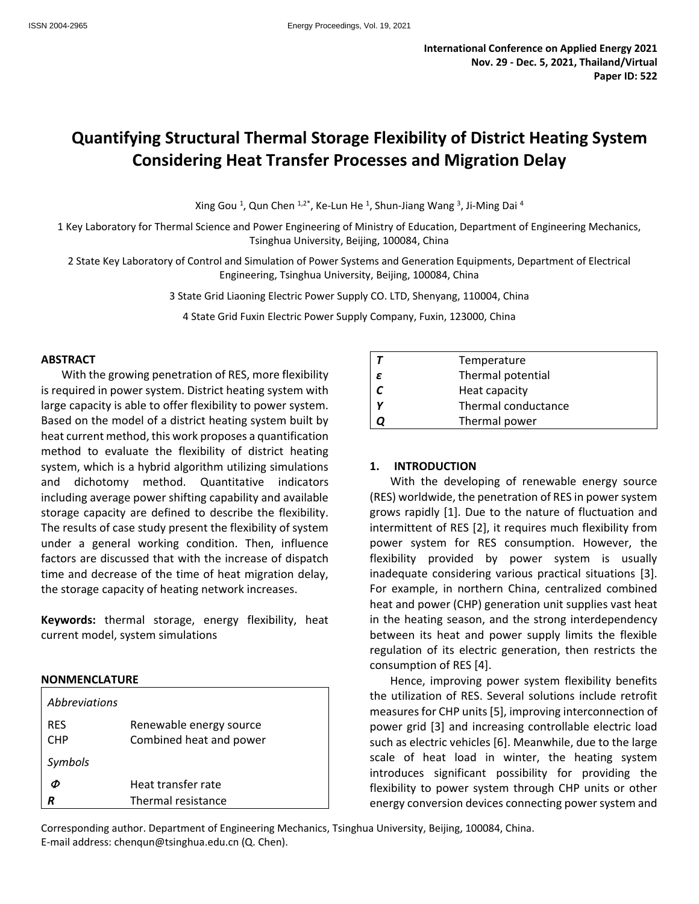# **Quantifying Structural Thermal Storage Flexibility of District Heating System Considering Heat Transfer Processes and Migration Delay**

Xing Gou <sup>1</sup>, Qun Chen  $1.2^*$ , Ke-Lun He <sup>1</sup>, Shun-Jiang Wang <sup>3</sup>, Ji-Ming Dai <sup>4</sup>

1 Key Laboratory for Thermal Science and Power Engineering of Ministry of Education, Department of Engineering Mechanics, Tsinghua University, Beijing, 100084, China

2 State Key Laboratory of Control and Simulation of Power Systems and Generation Equipments, Department of Electrical Engineering, Tsinghua University, Beijing, 100084, China

3 State Grid Liaoning Electric Power Supply CO. LTD, Shenyang, 110004, China

4 State Grid Fuxin Electric Power Supply Company, Fuxin, 123000, China

#### **ABSTRACT**

With the growing penetration of RES, more flexibility is required in power system. District heating system with large capacity is able to offer flexibility to power system. Based on the model of a district heating system built by heat current method, this work proposes a quantification method to evaluate the flexibility of district heating system, which is a hybrid algorithm utilizing simulations and dichotomy method. Quantitative indicators including average power shifting capability and available storage capacity are defined to describe the flexibility. The results of case study present the flexibility of system under a general working condition. Then, influence factors are discussed that with the increase of dispatch time and decrease of the time of heat migration delay, the storage capacity of heating network increases.

**Keywords:** thermal storage, energy flexibility, heat current model, system simulations

#### **NONMENCLATURE**

| <b>Abbreviations</b>     |                                                    |
|--------------------------|----------------------------------------------------|
| <b>RES</b><br><b>CHP</b> | Renewable energy source<br>Combined heat and power |
| Symbols                  |                                                    |
|                          | Heat transfer rate                                 |
|                          | Thermal resistance                                 |

|   | Temperature         |
|---|---------------------|
| ε | Thermal potential   |
|   | Heat capacity       |
|   | Thermal conductance |
|   | Thermal power       |

#### **1. INTRODUCTION**

With the developing of renewable energy source (RES) worldwide, the penetration of RES in power system grows rapidly [1]. Due to the nature of fluctuation and intermittent of RES [2], it requires much flexibility from power system for RES consumption. However, the flexibility provided by power system is usually inadequate considering various practical situations [3]. For example, in northern China, centralized combined heat and power (CHP) generation unit supplies vast heat in the heating season, and the strong interdependency between its heat and power supply limits the flexible regulation of its electric generation, then restricts the consumption of RES [4].

Hence, improving power system flexibility benefits the utilization of RES. Several solutions include retrofit measures for CHP units[5], improving interconnection of power grid [3] and increasing controllable electric load such as electric vehicles [6]. Meanwhile, due to the large scale of heat load in winter, the heating system introduces significant possibility for providing the flexibility to power system through CHP units or other energy conversion devices connecting power system and

Corresponding author. Department of Engineering Mechanics, Tsinghua University, Beijing, 100084, China. E-mail address: chenqun@tsinghua.edu.cn (Q. Chen).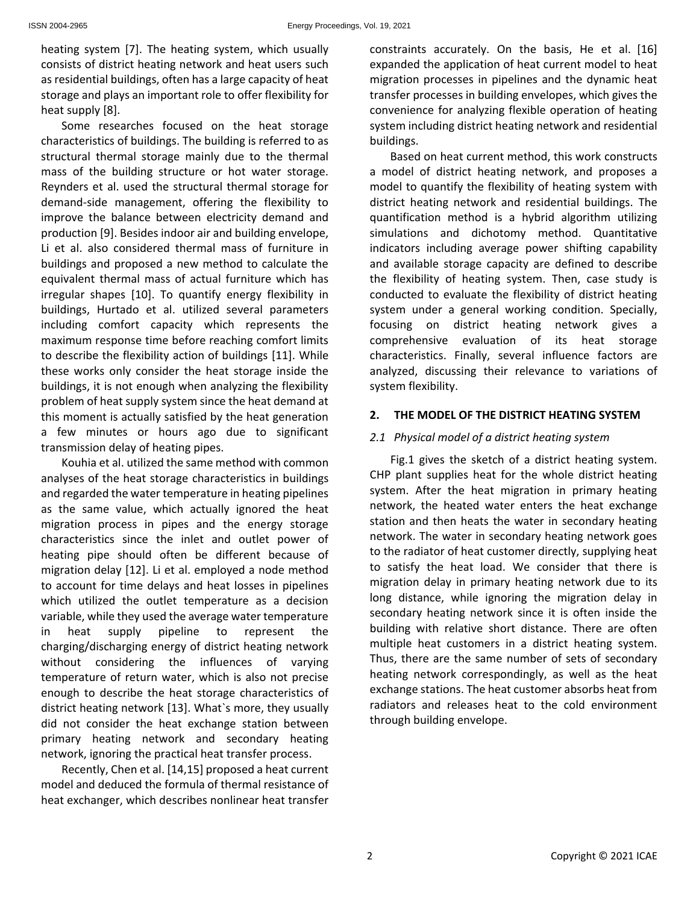heating system [7]. The heating system, which usually consists of district heating network and heat users such as residential buildings, often has a large capacity of heat storage and plays an important role to offer flexibility for heat supply [8].

Some researches focused on the heat storage characteristics of buildings. The building is referred to as structural thermal storage mainly due to the thermal mass of the building structure or hot water storage. Reynders et al. used the structural thermal storage for demand-side management, offering the flexibility to improve the balance between electricity demand and production [9]. Besides indoor air and building envelope, Li et al. also considered thermal mass of furniture in buildings and proposed a new method to calculate the equivalent thermal mass of actual furniture which has irregular shapes [10]. To quantify energy flexibility in buildings, Hurtado et al. utilized several parameters including comfort capacity which represents the maximum response time before reaching comfort limits to describe the flexibility action of buildings [11]. While these works only consider the heat storage inside the buildings, it is not enough when analyzing the flexibility problem of heat supply system since the heat demand at this moment is actually satisfied by the heat generation a few minutes or hours ago due to significant transmission delay of heating pipes.

Kouhia et al. utilized the same method with common analyses of the heat storage characteristics in buildings and regarded the water temperature in heating pipelines as the same value, which actually ignored the heat migration process in pipes and the energy storage characteristics since the inlet and outlet power of heating pipe should often be different because of migration delay [12]. Li et al. employed a node method to account for time delays and heat losses in pipelines which utilized the outlet temperature as a decision variable, while they used the average water temperature in heat supply pipeline to represent the charging/discharging energy of district heating network without considering the influences of varying temperature of return water, which is also not precise enough to describe the heat storage characteristics of district heating network [13]. What`s more, they usually did not consider the heat exchange station between primary heating network and secondary heating network, ignoring the practical heat transfer process.

Recently, Chen et al. [14,15] proposed a heat current model and deduced the formula of thermal resistance of heat exchanger, which describes nonlinear heat transfer

constraints accurately. On the basis, He et al. [16] expanded the application of heat current model to heat migration processes in pipelines and the dynamic heat transfer processes in building envelopes, which gives the convenience for analyzing flexible operation of heating system including district heating network and residential buildings.

Based on heat current method, this work constructs a model of district heating network, and proposes a model to quantify the flexibility of heating system with district heating network and residential buildings. The quantification method is a hybrid algorithm utilizing simulations and dichotomy method. Quantitative indicators including average power shifting capability and available storage capacity are defined to describe the flexibility of heating system. Then, case study is conducted to evaluate the flexibility of district heating system under a general working condition. Specially, focusing on district heating network gives a comprehensive evaluation of its heat storage characteristics. Finally, several influence factors are analyzed, discussing their relevance to variations of system flexibility.

## **2. THE MODEL OF THE DISTRICT HEATING SYSTEM**

## *2.1 Physical model of a district heating system*

Fig.1 gives the sketch of a district heating system. CHP plant supplies heat for the whole district heating system. After the heat migration in primary heating network, the heated water enters the heat exchange station and then heats the water in secondary heating network. The water in secondary heating network goes to the radiator of heat customer directly, supplying heat to satisfy the heat load. We consider that there is migration delay in primary heating network due to its long distance, while ignoring the migration delay in secondary heating network since it is often inside the building with relative short distance. There are often multiple heat customers in a district heating system. Thus, there are the same number of sets of secondary heating network correspondingly, as well as the heat exchange stations. The heat customer absorbs heat from radiators and releases heat to the cold environment through building envelope.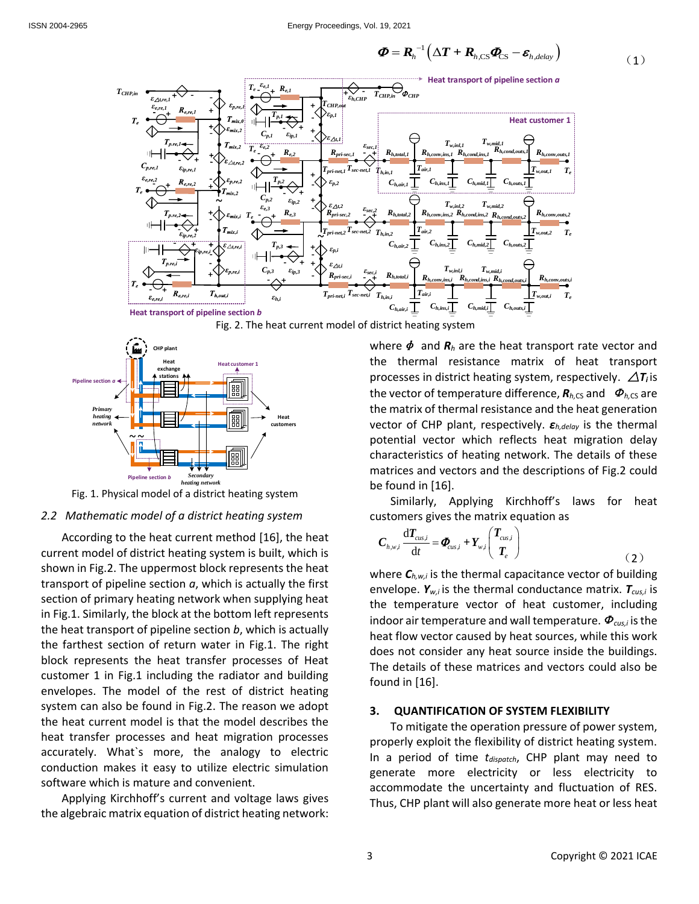$$
\boldsymbol{\Phi} = \boldsymbol{R}_{h}^{-1} \left( \Delta \boldsymbol{T} + \boldsymbol{R}_{h, \text{CS}} \boldsymbol{\Phi}_{\text{CS}} - \boldsymbol{\varepsilon}_{h, \text{delay}} \right) \tag{1}
$$



Fig. 2. The heat current model of district heating system



Fig. 1. Physical model of a district heating system

### *2.2 Mathematic model of a district heating system*

According to the heat current method [16], the heat current model of district heating system is built, which is shown in Fig.2. The uppermost block represents the heat transport of pipeline section *a*, which is actually the first section of primary heating network when supplying heat in Fig.1. Similarly, the block at the bottom left represents the heat transport of pipeline section *b*, which is actually the farthest section of return water in Fig.1. The right block represents the heat transfer processes of Heat customer 1 in Fig.1 including the radiator and building envelopes. The model of the rest of district heating system can also be found in Fig.2. The reason we adopt the heat current model is that the model describes the heat transfer processes and heat migration processes accurately. What`s more, the analogy to electric conduction makes it easy to utilize electric simulation software which is mature and convenient.

Applying Kirchhoff's current and voltage laws gives the algebraic matrix equation of district heating network: where  $\phi$  and  $\mathbf{R}_h$  are the heat transport rate vector and the thermal resistance matrix of heat transport processes in district heating system, respectively.  $\Delta T_i$  is the vector of temperature difference,  $\mathbf{R}_{h,\text{CS}}$  and  $\boldsymbol{\Phi}_{h,\text{CS}}$  are the matrix of thermal resistance and the heat generation vector of CHP plant, respectively. *εh,delay* is the thermal potential vector which reflects heat migration delay characteristics of heating network. The details of these matrices and vectors and the descriptions of Fig.2 could be found in [16].

Similarly, Applying Kirchhoff's laws for heat

customers gives the matrix equation as

\n
$$
C_{h,w,i} \frac{d T_{\text{cus},i}}{dt} = \Phi_{\text{cus},i} + Y_{w,i} \begin{pmatrix} T_{\text{cus},i} \\ T_e \end{pmatrix}
$$
\n(2)

where *Ch,w,i* is the thermal capacitance vector of building envelope. *Yw,i* is the thermal conductance matrix. *Tcus,i* is the temperature vector of heat customer, including indoor air temperature and wall temperature.  $\Phi_{\text{cus},i}$  is the heat flow vector caused by heat sources, while this work does not consider any heat source inside the buildings. The details of these matrices and vectors could also be found in [16].

### **3. QUANTIFICATION OF SYSTEM FLEXIBILITY**

To mitigate the operation pressure of power system, properly exploit the flexibility of district heating system. In a period of time *tdispatch*, CHP plant may need to generate more electricity or less electricity to accommodate the uncertainty and fluctuation of RES. Thus, CHP plant will also generate more heat or less heat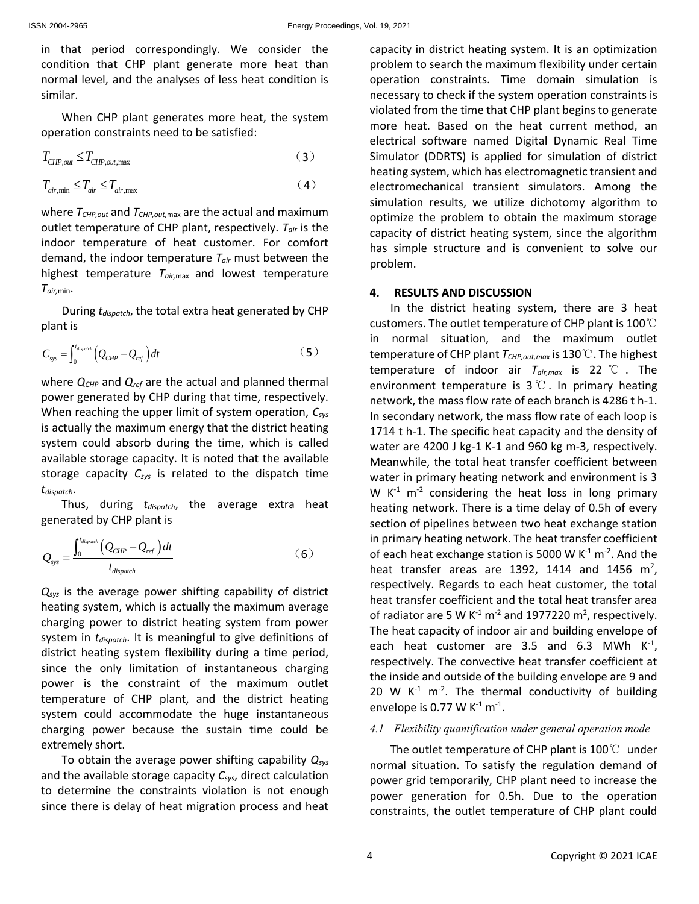in that period correspondingly. We consider the condition that CHP plant generate more heat than normal level, and the analyses of less heat condition is similar.

When CHP plant generates more heat, the system operation constraints need to be satisfied:

$$
T_{\text{CHP,out}} \leq T_{\text{CHP,out,max}} \tag{3}
$$

$$
T_{\text{air,min}} \leq T_{\text{air}} \leq T_{\text{air,max}} \tag{4}
$$

where *TCHP,out* and *TCHP,out,*max are the actual and maximum outlet temperature of CHP plant, respectively. *Tair* is the indoor temperature of heat customer. For comfort demand, the indoor temperature *Tair* must between the highest temperature *Tair,*max and lowest temperature *Tair,*min.

During *tdispatch*, the total extra heat generated by CHP plant is

$$
C_{\rm sys} = \int_0^{t_{\rm displacement}} \left( Q_{CHP} - Q_{ref} \right) dt \tag{5}
$$

where *QCHP* and *Qref* are the actual and planned thermal power generated by CHP during that time, respectively. When reaching the upper limit of system operation, *Csys* is actually the maximum energy that the district heating system could absorb during the time, which is called available storage capacity. It is noted that the available storage capacity *Csys* is related to the dispatch time *tdispatch*.

Thus, during *tdispatch*, the average extra heat generated by CHP plant is

$$
Q_{\rm sys} = \frac{\int_0^{t_{\rm{dispatch}}} \left(Q_{CHP} - Q_{ref}\right) dt}{t_{\rm{dispatch}}}
$$
(6)

*Qsys* is the average power shifting capability of district heating system, which is actually the maximum average charging power to district heating system from power system in *tdispatch*. It is meaningful to give definitions of district heating system flexibility during a time period, since the only limitation of instantaneous charging power is the constraint of the maximum outlet temperature of CHP plant, and the district heating system could accommodate the huge instantaneous charging power because the sustain time could be extremely short.

To obtain the average power shifting capability *Qsys* and the available storage capacity *Csys*, direct calculation to determine the constraints violation is not enough since there is delay of heat migration process and heat capacity in district heating system. It is an optimization problem to search the maximum flexibility under certain operation constraints. Time domain simulation is necessary to check if the system operation constraints is violated from the time that CHP plant begins to generate more heat. Based on the heat current method, an electrical software named Digital Dynamic Real Time Simulator (DDRTS) is applied for simulation of district heating system, which has electromagnetic transient and electromechanical transient simulators. Among the simulation results, we utilize dichotomy algorithm to optimize the problem to obtain the maximum storage capacity of district heating system, since the algorithm has simple structure and is convenient to solve our problem.

## **4. RESULTS AND DISCUSSION**

In the district heating system, there are 3 heat customers. The outlet temperature of CHP plant is 100℃ in normal situation, and the maximum outlet temperature of CHP plant *TCHP,out,max* is 130℃. The highest temperature of indoor air *Tair,max* is 22 ℃ . The environment temperature is 3℃. In primary heating network, the mass flow rate of each branch is 4286 t h-1. In secondary network, the mass flow rate of each loop is 1714 t h-1. The specific heat capacity and the density of water are 4200 J kg-1 K-1 and 960 kg m-3, respectively. Meanwhile, the total heat transfer coefficient between water in primary heating network and environment is 3 W  $K<sup>-1</sup>$  m<sup>-2</sup> considering the heat loss in long primary heating network. There is a time delay of 0.5h of every section of pipelines between two heat exchange station in primary heating network. The heat transfer coefficient of each heat exchange station is 5000 W  $K^{-1}$  m<sup>-2</sup>. And the heat transfer areas are 1392, 1414 and 1456  $m^2$ , respectively. Regards to each heat customer, the total heat transfer coefficient and the total heat transfer area of radiator are 5 W K<sup>-1</sup> m<sup>-2</sup> and 1977220 m<sup>2</sup>, respectively. The heat capacity of indoor air and building envelope of each heat customer are 3.5 and 6.3 MWh  $K^{-1}$ , respectively. The convective heat transfer coefficient at the inside and outside of the building envelope are 9 and 20 W  $K^{-1}$  m<sup>-2</sup>. The thermal conductivity of building envelope is 0.77 W K<sup>-1</sup> m<sup>-1</sup>.

### *4.1 Flexibility quantification under general operation mode*

The outlet temperature of CHP plant is 100℃ under normal situation. To satisfy the regulation demand of power grid temporarily, CHP plant need to increase the power generation for 0.5h. Due to the operation constraints, the outlet temperature of CHP plant could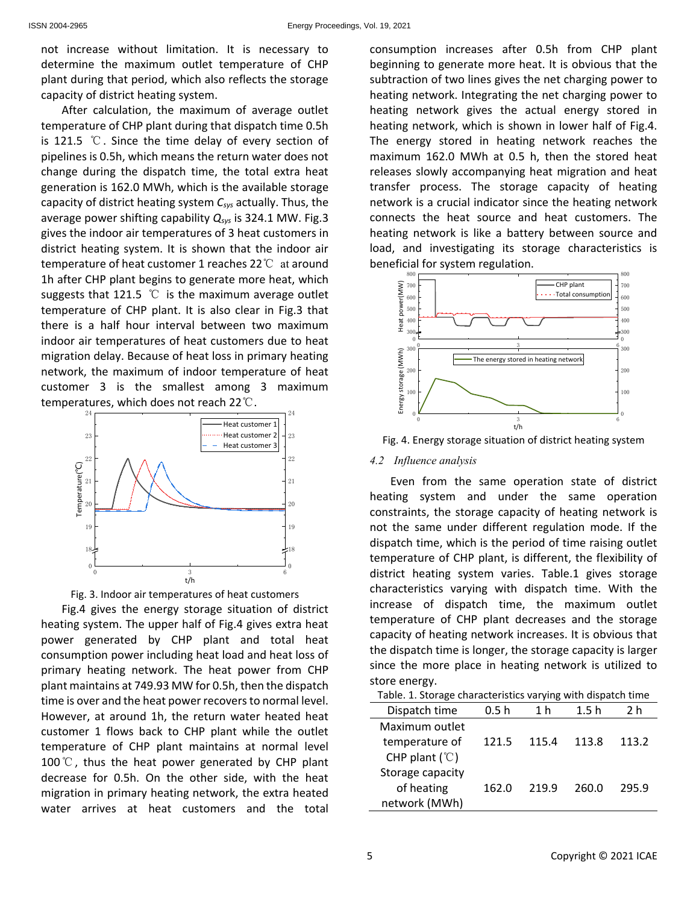not increase without limitation. It is necessary to determine the maximum outlet temperature of CHP plant during that period, which also reflects the storage capacity of district heating system.

After calculation, the maximum of average outlet temperature of CHP plant during that dispatch time 0.5h is 121.5 ℃. Since the time delay of every section of pipelines is 0.5h, which means the return water does not change during the dispatch time, the total extra heat generation is 162.0 MWh, which is the available storage capacity of district heating system *Csys* actually. Thus, the average power shifting capability *Qsys* is 324.1 MW. Fig.3 gives the indoor air temperatures of 3 heat customers in district heating system. It is shown that the indoor air temperature of heat customer 1 reaches 22℃ at around 1h after CHP plant begins to generate more heat, which suggests that 121.5  $\degree{\text{C}}$  is the maximum average outlet temperature of CHP plant. It is also clear in Fig.3 that there is a half hour interval between two maximum indoor air temperatures of heat customers due to heat migration delay. Because of heat loss in primary heating network, the maximum of indoor temperature of heat customer 3 is the smallest among 3 maximum temperatures, which does not reach 22 ℃.





Fig.4 gives the energy storage situation of district heating system. The upper half of Fig.4 gives extra heat power generated by CHP plant and total heat consumption power including heat load and heat loss of primary heating network. The heat power from CHP plant maintains at 749.93 MW for 0.5h, then the dispatch time is over and the heat power recovers to normal level. However, at around 1h, the return water heated heat customer 1 flows back to CHP plant while the outlet temperature of CHP plant maintains at normal level 100  $\degree$ , thus the heat power generated by CHP plant decrease for 0.5h. On the other side, with the heat migration in primary heating network, the extra heated water arrives at heat customers and the total consumption increases after 0.5h from CHP plant beginning to generate more heat. It is obvious that the subtraction of two lines gives the net charging power to heating network. Integrating the net charging power to heating network gives the actual energy stored in heating network, which is shown in lower half of Fig.4. The energy stored in heating network reaches the maximum 162.0 MWh at 0.5 h, then the stored heat releases slowly accompanying heat migration and heat transfer process. The storage capacity of heating network is a crucial indicator since the heating network connects the heat source and heat customers. The heating network is like a battery between source and load, and investigating its storage characteristics is beneficial for system regulation.



Fig. 4. Energy storage situation of district heating system

### *4.2 Influence analysis*

Even from the same operation state of district heating system and under the same operation constraints, the storage capacity of heating network is not the same under different regulation mode. If the dispatch time, which is the period of time raising outlet temperature of CHP plant, is different, the flexibility of district heating system varies. Table.1 gives storage characteristics varying with dispatch time. With the increase of dispatch time, the maximum outlet temperature of CHP plant decreases and the storage capacity of heating network increases. It is obvious that the dispatch time is longer, the storage capacity is larger since the more place in heating network is utilized to store energy.

| Dispatch time                                   | 0.5h  | 1 h   | 1.5h  | 2 h   |
|-------------------------------------------------|-------|-------|-------|-------|
| Maximum outlet                                  |       |       |       |       |
| temperature of<br>CHP plant $(\mathcal{C})$     | 121.5 | 115.4 | 113.8 | 113.2 |
| Storage capacity<br>of heating<br>network (MWh) | 162.0 | 219.9 | 260.0 | 295.9 |